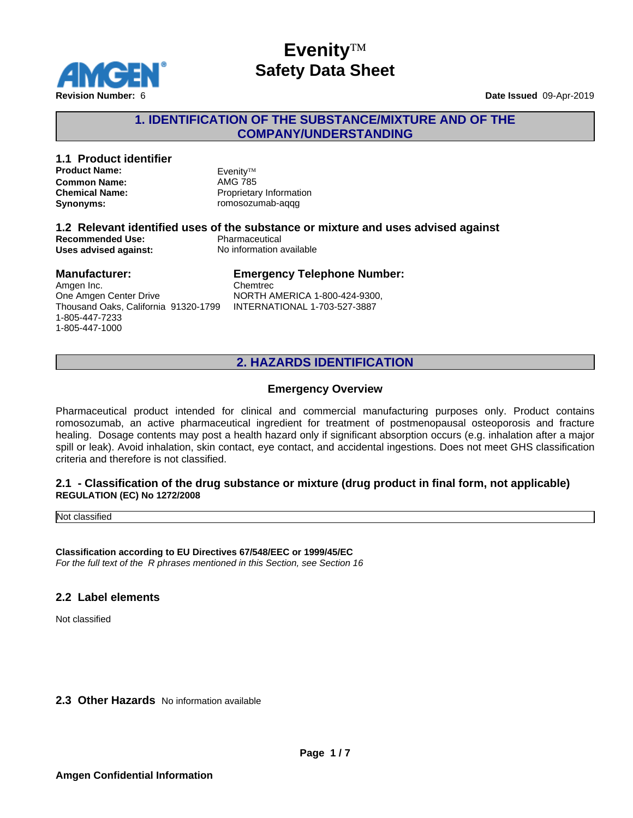

### **1. IDENTIFICATION OF THE SUBSTANCE/MIXTURE AND OF THE COMPANY/UNDERSTANDING**

#### **1.1 Product identifier Product Name:** Evenity™<br> **Common Name:** AMG 785 **Common Name: Chemical Name:** Proprietary Information **Synonyms:** romosozumab-aqqg **1.2 Relevant identified uses of the substance or mixture and uses advised against Recommended Use:**<br> **Uses advised against:**<br> **No information available Uses advised against: Manufacturer: Emergency Telephone Number:**

Amgen Inc. One Amgen Center Drive Thousand Oaks, California 91320-1799 1-805-447-7233 1-805-447-1000

Chemtrec NORTH AMERICA 1-800-424-9300, INTERNATIONAL 1-703-527-3887

### **2. HAZARDS IDENTIFICATION**

#### **Emergency Overview**

Pharmaceutical product intended for clinical and commercial manufacturing purposes only. Product contains romosozumab, an active pharmaceutical ingredient for treatment of postmenopausal osteoporosis and fracture healing. Dosage contents may post a health hazard only if significant absorption occurs (e.g. inhalation after a major spill or leak). Avoid inhalation, skin contact, eye contact, and accidental ingestions. Does not meetGHS classification criteria and therefore is not classified.

#### **2.1 - Classification of the drug substance or mixture (drug product in final form, not applicable) REGULATION (EC) No 1272/2008**

Not classified

**Classification according to EU Directives 67/548/EEC or 1999/45/EC** *For the full text of the R phrases mentioned in this Section, see Section 16*

#### **2.2 Label elements**

Not classified

**2.3 Other Hazards** No information available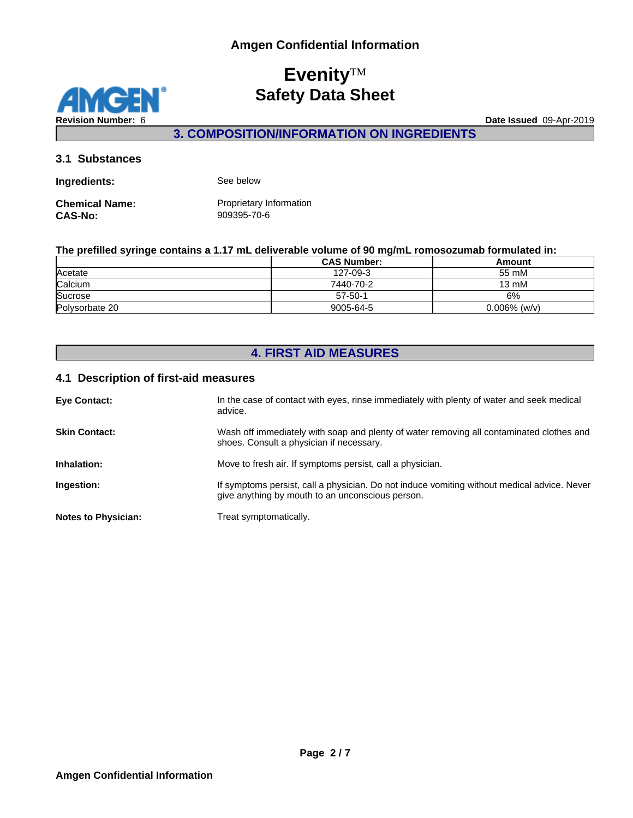**MGEN** z **Revision Number:** 6 **Date Issued** 09-Apr-2019

**3. COMPOSITION/INFORMATION ON INGREDIENTS**

#### **3.1 Substances**

| Ingredients:          | See below               |
|-----------------------|-------------------------|
| <b>Chemical Name:</b> | Proprietary Information |
| <b>CAS-No:</b>        | 909395-70-6             |

#### **The prefilled syringe contains a 1.17 mL deliverable volume of 90 mg/mL romosozumab formulated in:**

|                | <b>CAS Number:</b> | Amount          |
|----------------|--------------------|-----------------|
| Acetate        | 127-09-3           | 55 mM           |
| Calcium        | 7440-70-2          | 13 mM           |
| Sucrose        | $57 - 50 - 1$      | 6%              |
| Polysorbate 20 | 9005-64-5          | $0.006\%$ (w/v) |

# **4. FIRST AID MEASURES**

#### **4.1 Description of first-aid measures**

| <b>Eye Contact:</b>        | In the case of contact with eyes, rinse immediately with plenty of water and seek medical<br>advice.                                            |
|----------------------------|-------------------------------------------------------------------------------------------------------------------------------------------------|
| <b>Skin Contact:</b>       | Wash off immediately with soap and plenty of water removing all contaminated clothes and<br>shoes. Consult a physician if necessary.            |
| Inhalation:                | Move to fresh air. If symptoms persist, call a physician.                                                                                       |
| Ingestion:                 | If symptoms persist, call a physician. Do not induce vomiting without medical advice. Never<br>give anything by mouth to an unconscious person. |
| <b>Notes to Physician:</b> | Treat symptomatically.                                                                                                                          |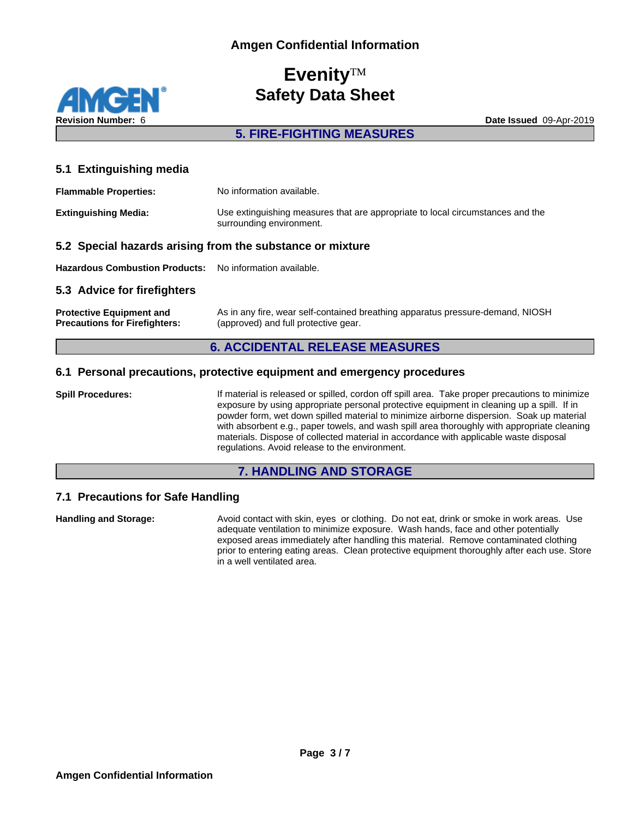**Revision Number:** 6 **Date Issued** 09-Apr-2019

**5. FIRE-FIGHTING MEASURES**

### **5.1 Extinguishing media**

| <b>Flammable Properties:</b> | No information available.                                                                                  |
|------------------------------|------------------------------------------------------------------------------------------------------------|
| <b>Extinguishing Media:</b>  | Use extinguishing measures that are appropriate to local circumstances and the<br>surrounding environment. |

#### **5.2 Special hazards arising from the substance or mixture**

**Hazardous Combustion Products:** No information available.

#### **5.3 Advice for firefighters**

**Protective Equipment and Precautions for Firefighters:** As in any fire, wear self-contained breathing apparatus pressure-demand, NIOSH (approved) and full protective gear.

### **6. ACCIDENTAL RELEASE MEASURES**

#### **6.1 Personal precautions, protective equipment and emergency procedures**

**Spill Procedures:** If material is released or spilled, cordon off spill area. Take proper precautions to minimize exposure by using appropriate personal protective equipment in cleaning up a spill. If in powder form, wet down spilled material to minimize airborne dispersion. Soak up material with absorbent e.g., paper towels, and wash spill area thoroughly with appropriate cleaning materials. Dispose of collected material in accordance with applicable waste disposal regulations. Avoid release to the environment.

#### **7. HANDLING AND STORAGE**

### **7.1 Precautions for Safe Handling**

**Handling and Storage:** Avoid contact with skin, eyes or clothing. Do not eat, drink or smoke in work areas. Use adequate ventilation to minimize exposure. Wash hands, face and other potentially exposed areas immediately after handling this material. Remove contaminated clothing prior to entering eating areas. Clean protective equipment thoroughly after each use. Store in a well ventilated area.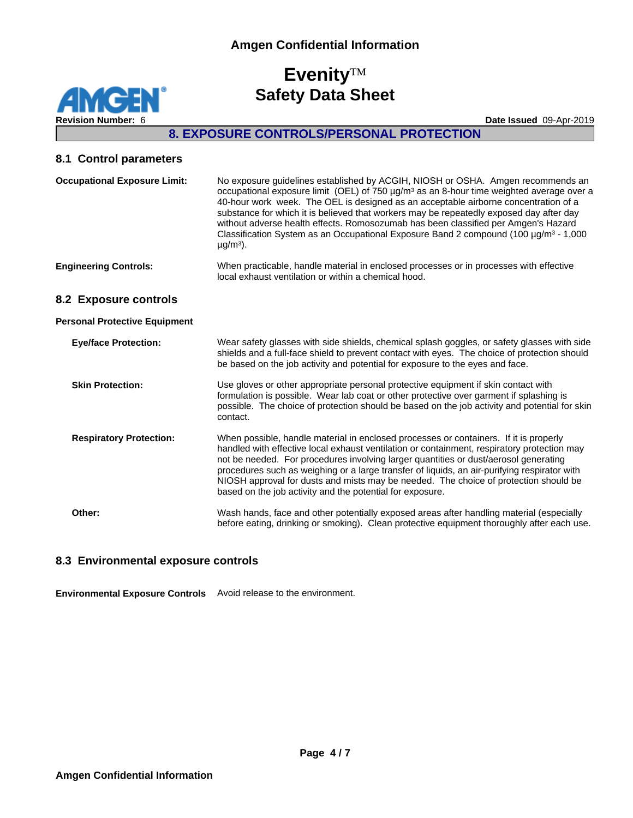**Revision Number:** 6 **Date Issued** 09-Apr-2019

# **8. EXPOSURE CONTROLS/PERSONAL PROTECTION**

#### **8.1 Control parameters**

**MGEN®** 

z

| <b>Occupational Exposure Limit:</b>  | No exposure guidelines established by ACGIH, NIOSH or OSHA. Amgen recommends an<br>occupational exposure limit (OEL) of 750 $\mu$ g/m <sup>3</sup> as an 8-hour time weighted average over a<br>40-hour work week. The OEL is designed as an acceptable airborne concentration of a<br>substance for which it is believed that workers may be repeatedly exposed day after day<br>without adverse health effects. Romosozumab has been classified per Amgen's Hazard<br>Classification System as an Occupational Exposure Band 2 compound (100 $\mu$ g/m <sup>3</sup> - 1,000<br>$\mu$ g/m <sup>3</sup> ). |
|--------------------------------------|------------------------------------------------------------------------------------------------------------------------------------------------------------------------------------------------------------------------------------------------------------------------------------------------------------------------------------------------------------------------------------------------------------------------------------------------------------------------------------------------------------------------------------------------------------------------------------------------------------|
| <b>Engineering Controls:</b>         | When practicable, handle material in enclosed processes or in processes with effective<br>local exhaust ventilation or within a chemical hood.                                                                                                                                                                                                                                                                                                                                                                                                                                                             |
| 8.2 Exposure controls                |                                                                                                                                                                                                                                                                                                                                                                                                                                                                                                                                                                                                            |
| <b>Personal Protective Equipment</b> |                                                                                                                                                                                                                                                                                                                                                                                                                                                                                                                                                                                                            |
| <b>Eye/face Protection:</b>          | Wear safety glasses with side shields, chemical splash goggles, or safety glasses with side<br>shields and a full-face shield to prevent contact with eyes. The choice of protection should<br>be based on the job activity and potential for exposure to the eyes and face.                                                                                                                                                                                                                                                                                                                               |
| <b>Skin Protection:</b>              | Use gloves or other appropriate personal protective equipment if skin contact with<br>formulation is possible. Wear lab coat or other protective over garment if splashing is<br>possible. The choice of protection should be based on the job activity and potential for skin<br>contact.                                                                                                                                                                                                                                                                                                                 |
| <b>Respiratory Protection:</b>       | When possible, handle material in enclosed processes or containers. If it is properly<br>handled with effective local exhaust ventilation or containment, respiratory protection may<br>not be needed. For procedures involving larger quantities or dust/aerosol generating<br>procedures such as weighing or a large transfer of liquids, an air-purifying respirator with<br>NIOSH approval for dusts and mists may be needed. The choice of protection should be<br>based on the job activity and the potential for exposure.                                                                          |
| Other:                               | Wash hands, face and other potentially exposed areas after handling material (especially<br>before eating, drinking or smoking). Clean protective equipment thoroughly after each use.                                                                                                                                                                                                                                                                                                                                                                                                                     |

### **8.3 Environmental exposure controls**

**Environmental Exposure Controls** Avoid release to the environment.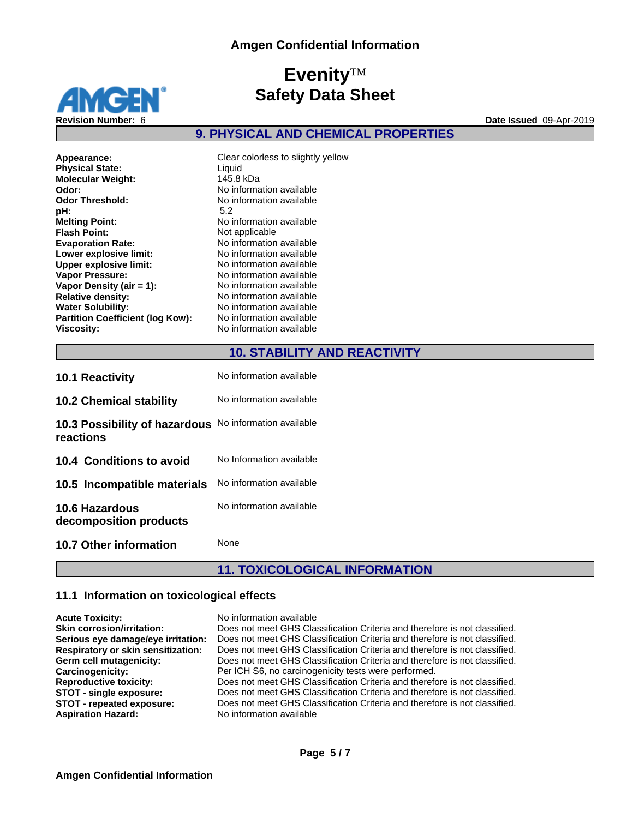

### **9. PHYSICAL AND CHEMICAL PROPERTIES**

| Appearance:<br><b>Physical State:</b><br><b>Molecular Weight:</b><br>Odor: | Clear colorless to slightly yello<br>Liquid<br>145.8 kDa<br>No information available |
|----------------------------------------------------------------------------|--------------------------------------------------------------------------------------|
| <b>Odor Threshold:</b>                                                     | No information available                                                             |
| pH:                                                                        | 5.2                                                                                  |
| <b>Melting Point:</b>                                                      | No information available                                                             |
| <b>Flash Point:</b>                                                        | Not applicable                                                                       |
| <b>Evaporation Rate:</b>                                                   | No information available                                                             |
| Lower explosive limit:                                                     | No information available                                                             |
| <b>Upper explosive limit:</b>                                              | No information available                                                             |
| <b>Vapor Pressure:</b>                                                     | No information available                                                             |
| Vapor Density (air $= 1$ ):                                                | No information available                                                             |
| <b>Relative density:</b>                                                   | No information available                                                             |
| <b>Water Solubility:</b>                                                   | No information available                                                             |
| <b>Partition Coefficient (log Kow):</b>                                    | No information available                                                             |
| <b>Viscosity:</b>                                                          | No information available                                                             |
|                                                                            |                                                                                      |

Clear colorless to slightly yellow<br>Liquid **Molecular Weight:** 145.8 kDa **Odor:** No information available No information available<br>5.2 **Melting Point:** No information available **Not applicable Evaporation Rate:** No information available **Lower explosive limit:** No information available **No information available No information available No information available Relative density:** No information available **No information available No information available Viscosity:** No information available

### **10. STABILITY AND REACTIVITY**

| <b>10.1 Reactivity</b>                                              | No information available |
|---------------------------------------------------------------------|--------------------------|
| <b>10.2 Chemical stability</b>                                      | No information available |
| 10.3 Possibility of hazardous No information available<br>reactions |                          |
| 10.4 Conditions to avoid                                            | No Information available |
| 10.5 Incompatible materials                                         | No information available |
| <b>10.6 Hazardous</b><br>decomposition products                     | No information available |
| 10.7 Other information                                              | None                     |

# **11. TOXICOLOGICAL INFORMATION**

#### **11.1 Information on toxicological effects**

| <b>Acute Toxicity:</b>             | No information available                                                   |
|------------------------------------|----------------------------------------------------------------------------|
| <b>Skin corrosion/irritation:</b>  | Does not meet GHS Classification Criteria and therefore is not classified. |
| Serious eye damage/eye irritation: | Does not meet GHS Classification Criteria and therefore is not classified. |
| Respiratory or skin sensitization: | Does not meet GHS Classification Criteria and therefore is not classified. |
| Germ cell mutagenicity:            | Does not meet GHS Classification Criteria and therefore is not classified. |
| Carcinogenicity:                   | Per ICH S6, no carcinogenicity tests were performed.                       |
| <b>Reproductive toxicity:</b>      | Does not meet GHS Classification Criteria and therefore is not classified. |
| <b>STOT - single exposure:</b>     | Does not meet GHS Classification Criteria and therefore is not classified. |
| STOT - repeated exposure:          | Does not meet GHS Classification Criteria and therefore is not classified. |
| <b>Aspiration Hazard:</b>          | No information available                                                   |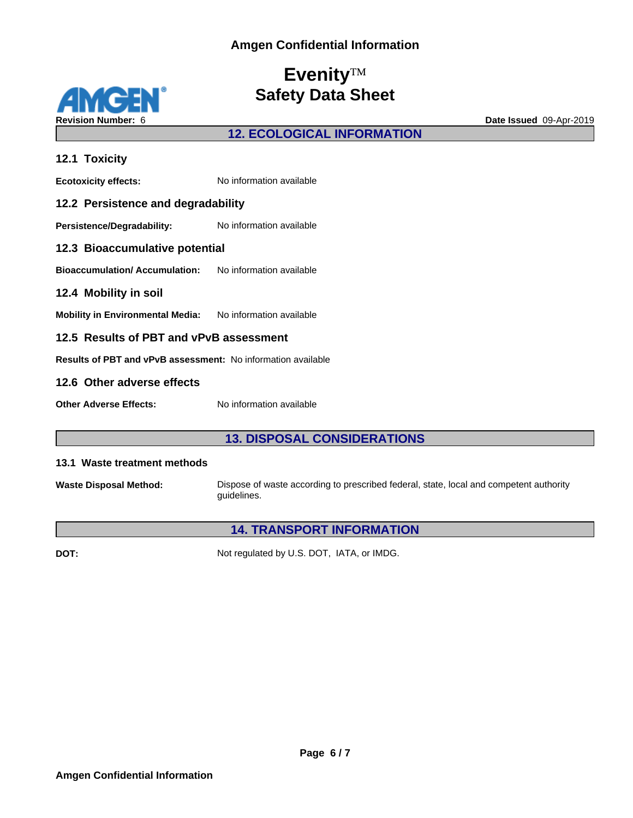

### **12. ECOLOGICAL INFORMATION**

| 12.1 Toxicity                                                       |                          |  |
|---------------------------------------------------------------------|--------------------------|--|
| <b>Ecotoxicity effects:</b>                                         | No information available |  |
| 12.2 Persistence and degradability                                  |                          |  |
| Persistence/Degradability:                                          | No information available |  |
| 12.3 Bioaccumulative potential                                      |                          |  |
| <b>Bioaccumulation/ Accumulation:</b> No information available      |                          |  |
| 12.4 Mobility in soil                                               |                          |  |
| Mobility in Environmental Media: No information available           |                          |  |
| 12.5 Results of PBT and vPvB assessment                             |                          |  |
| <b>Results of PBT and vPvB assessment:</b> No information available |                          |  |
| 12.6 Other adverse effects                                          |                          |  |
| <b>Other Adverse Effects:</b>                                       | No information available |  |

### **13. DISPOSAL CONSIDERATIONS**

#### **13.1 Waste treatment methods**

**Waste Disposal Method:** Dispose of waste according to prescribed federal, state, local and competent authority guidelines.

# **14. TRANSPORT INFORMATION**

**DOT:** Not regulated by U.S. DOT, IATA, or IMDG.